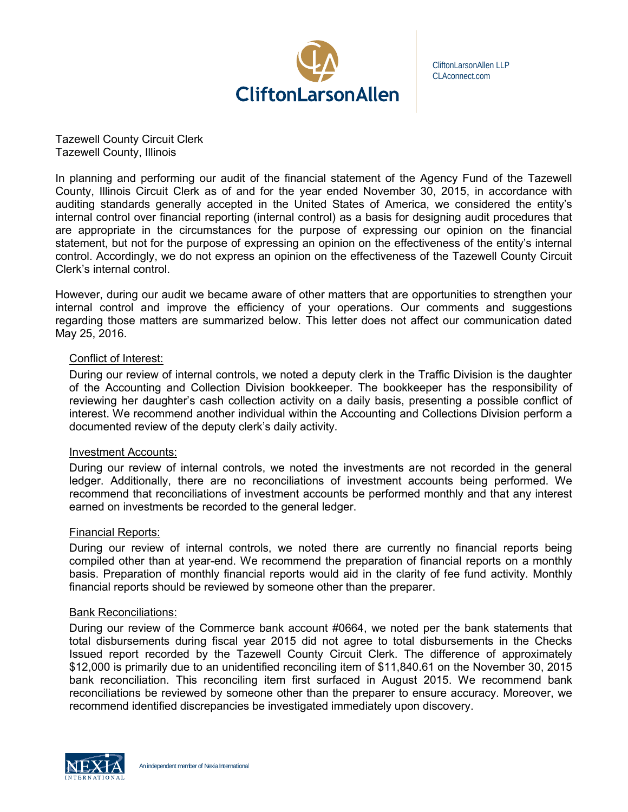

CliftonLarsonAllen LLP CLAconnect.com

Tazewell County Circuit Clerk Tazewell County, Illinois

In planning and performing our audit of the financial statement of the Agency Fund of the Tazewell County, Illinois Circuit Clerk as of and for the year ended November 30, 2015, in accordance with auditing standards generally accepted in the United States of America, we considered the entity's internal control over financial reporting (internal control) as a basis for designing audit procedures that are appropriate in the circumstances for the purpose of expressing our opinion on the financial statement, but not for the purpose of expressing an opinion on the effectiveness of the entity's internal control. Accordingly, we do not express an opinion on the effectiveness of the Tazewell County Circuit Clerk's internal control.

However, during our audit we became aware of other matters that are opportunities to strengthen your internal control and improve the efficiency of your operations. Our comments and suggestions regarding those matters are summarized below. This letter does not affect our communication dated May 25, 2016.

## Conflict of Interest:

During our review of internal controls, we noted a deputy clerk in the Traffic Division is the daughter of the Accounting and Collection Division bookkeeper. The bookkeeper has the responsibility of reviewing her daughter's cash collection activity on a daily basis, presenting a possible conflict of interest. We recommend another individual within the Accounting and Collections Division perform a documented review of the deputy clerk's daily activity.

## Investment Accounts:

During our review of internal controls, we noted the investments are not recorded in the general ledger. Additionally, there are no reconciliations of investment accounts being performed. We recommend that reconciliations of investment accounts be performed monthly and that any interest earned on investments be recorded to the general ledger.

## Financial Reports:

During our review of internal controls, we noted there are currently no financial reports being compiled other than at year-end. We recommend the preparation of financial reports on a monthly basis. Preparation of monthly financial reports would aid in the clarity of fee fund activity. Monthly financial reports should be reviewed by someone other than the preparer.

## Bank Reconciliations:

During our review of the Commerce bank account #0664, we noted per the bank statements that total disbursements during fiscal year 2015 did not agree to total disbursements in the Checks Issued report recorded by the Tazewell County Circuit Clerk. The difference of approximately \$12,000 is primarily due to an unidentified reconciling item of \$11,840.61 on the November 30, 2015 bank reconciliation. This reconciling item first surfaced in August 2015. We recommend bank reconciliations be reviewed by someone other than the preparer to ensure accuracy. Moreover, we recommend identified discrepancies be investigated immediately upon discovery.